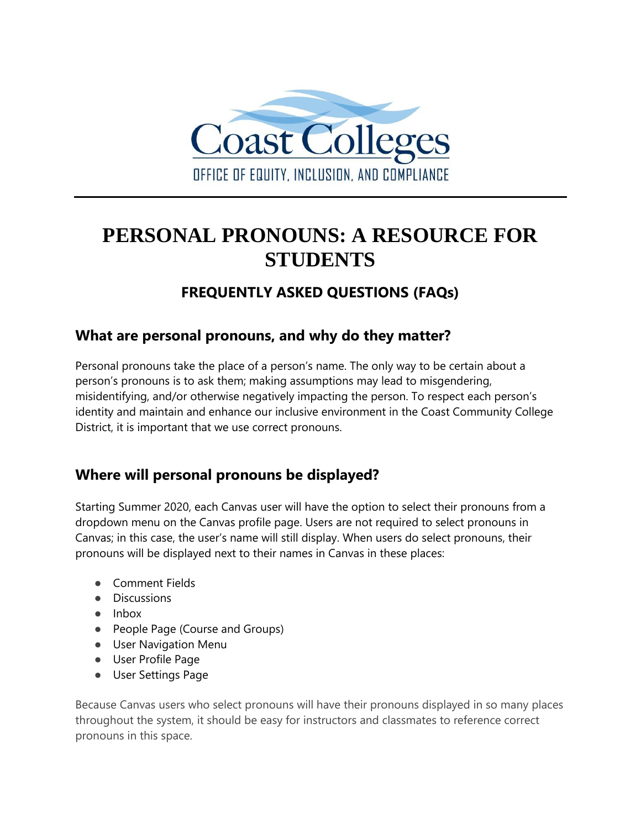

# **PERSONAL PRONOUNS: A RESOURCE FOR STUDENTS**

# **FREQUENTLY ASKED QUESTIONS (FAQs)**

### **What are personal pronouns, and why do they matter?**

Personal pronouns take the place of a person's name. The only way to be certain about a person's pronouns is to ask them; making assumptions may lead to misgendering, misidentifying, and/or otherwise negatively impacting the person. To respect each person's identity and maintain and enhance our inclusive environment in the Coast Community College District, it is important that we use correct pronouns.

# **Where will personal pronouns be displayed?**

Starting Summer 2020, each Canvas user will have the option to select their pronouns from a dropdown menu on the Canvas profile page. Users are not required to select pronouns in Canvas; in this case, the user's name will still display. When users do select pronouns, their pronouns will be displayed next to their names in Canvas in these places:

- Comment Fields
- Discussions
- Inbox
- People Page (Course and Groups)
- User Navigation Menu
- User Profile Page
- User Settings Page

Because Canvas users who select pronouns will have their pronouns displayed in so many places throughout the system, it should be easy for instructors and classmates to reference correct pronouns in this space.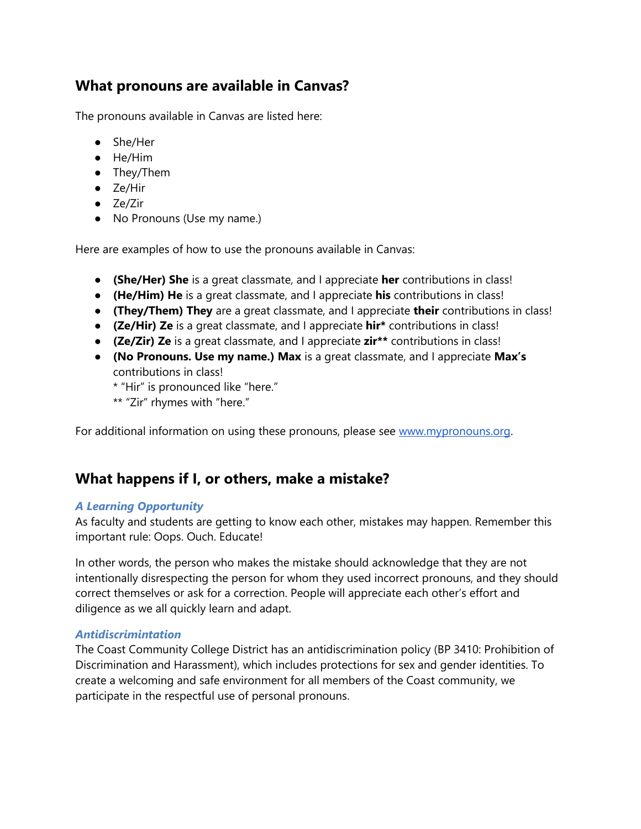### **What pronouns are available in Canvas?**

The pronouns available in Canvas are listed here:

- She/Her
- He/Him
- They/Them
- Ze/Hir
- Ze/Zir
- No Pronouns (Use my name.)

Here are examples of how to use the pronouns available in Canvas:

- **(She/Her) She** is a great classmate, and I appreciate **her** contributions in class!
- **(He/Him) He** is a great classmate, and I appreciate **his** contributions in class!
- **(They/Them) They** are a great classmate, and I appreciate **their** contributions in class!
- **(Ze/Hir) Ze** is a great classmate, and I appreciate **hir\*** contributions in class!
- **(Ze/Zir) Ze** is a great classmate, and I appreciate **zir\*\*** contributions in class!
- **(No Pronouns. Use my name.) Max** is a great classmate, and I appreciate **Max's** contributions in class!

\* "Hir" is pronounced like "here."

\*\* "Zir" rhymes with "here."

For additional information on using these pronouns, please see [www.mypronouns.org.](http://www.mypronouns.org/)

#### **What happens if I, or others, make a mistake?**

#### *A Learning Opportunity*

As faculty and students are getting to know each other, mistakes may happen. Remember this important rule: Oops. Ouch. Educate!

In other words, the person who makes the mistake should acknowledge that they are not intentionally disrespecting the person for whom they used incorrect pronouns, and they should correct themselves or ask for a correction. People will appreciate each other's effort and diligence as we all quickly learn and adapt.

#### *Antidiscrimintation*

The Coast Community College District has an antidiscrimination policy (BP 3410: Prohibition of Discrimination and Harassment), which includes protections for sex and gender identities. To create a welcoming and safe environment for all members of the Coast community, we participate in the respectful use of personal pronouns.